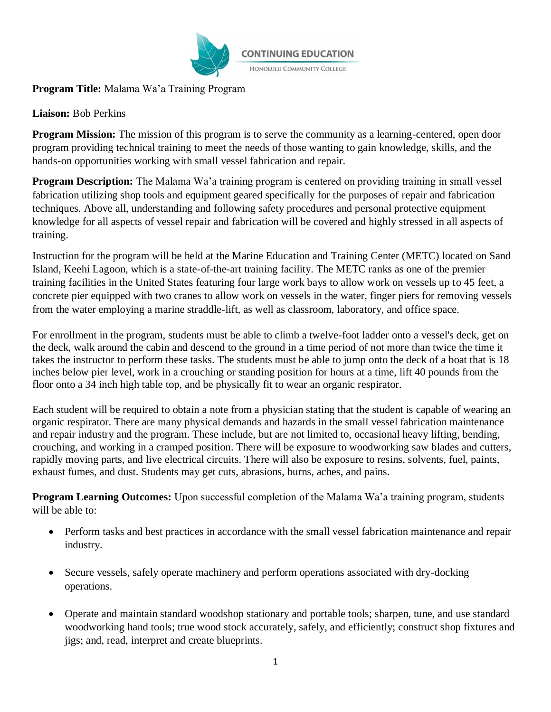

**Program Title:** Malama Wa'a Training Program

# **Liaison:** Bob Perkins

**Program Mission:** The mission of this program is to serve the community as a learning-centered, open door program providing technical training to meet the needs of those wanting to gain knowledge, skills, and the hands-on opportunities working with small vessel fabrication and repair.

**Program Description:** The Malama Wa'a training program is centered on providing training in small vessel fabrication utilizing shop tools and equipment geared specifically for the purposes of repair and fabrication techniques. Above all, understanding and following safety procedures and personal protective equipment knowledge for all aspects of vessel repair and fabrication will be covered and highly stressed in all aspects of training.

Instruction for the program will be held at the Marine Education and Training Center (METC) located on Sand Island, Keehi Lagoon, which is a state-of-the-art training facility. The METC ranks as one of the premier training facilities in the United States featuring four large work bays to allow work on vessels up to 45 feet, a concrete pier equipped with two cranes to allow work on vessels in the water, finger piers for removing vessels from the water employing a marine straddle-lift, as well as classroom, laboratory, and office space.

For enrollment in the program, students must be able to climb a twelve-foot ladder onto a vessel's deck, get on the deck, walk around the cabin and descend to the ground in a time period of not more than twice the time it takes the instructor to perform these tasks. The students must be able to jump onto the deck of a boat that is 18 inches below pier level, work in a crouching or standing position for hours at a time, lift 40 pounds from the floor onto a 34 inch high table top, and be physically fit to wear an organic respirator.

Each student will be required to obtain a note from a physician stating that the student is capable of wearing an organic respirator. There are many physical demands and hazards in the small vessel fabrication maintenance and repair industry and the program. These include, but are not limited to, occasional heavy lifting, bending, crouching, and working in a cramped position. There will be exposure to woodworking saw blades and cutters, rapidly moving parts, and live electrical circuits. There will also be exposure to resins, solvents, fuel, paints, exhaust fumes, and dust. Students may get cuts, abrasions, burns, aches, and pains.

**Program Learning Outcomes:** Upon successful completion of the Malama Wa'a training program, students will be able to:

- Perform tasks and best practices in accordance with the small vessel fabrication maintenance and repair industry.
- Secure vessels, safely operate machinery and perform operations associated with dry-docking operations.
- Operate and maintain standard woodshop stationary and portable tools; sharpen, tune, and use standard woodworking hand tools; true wood stock accurately, safely, and efficiently; construct shop fixtures and jigs; and, read, interpret and create blueprints.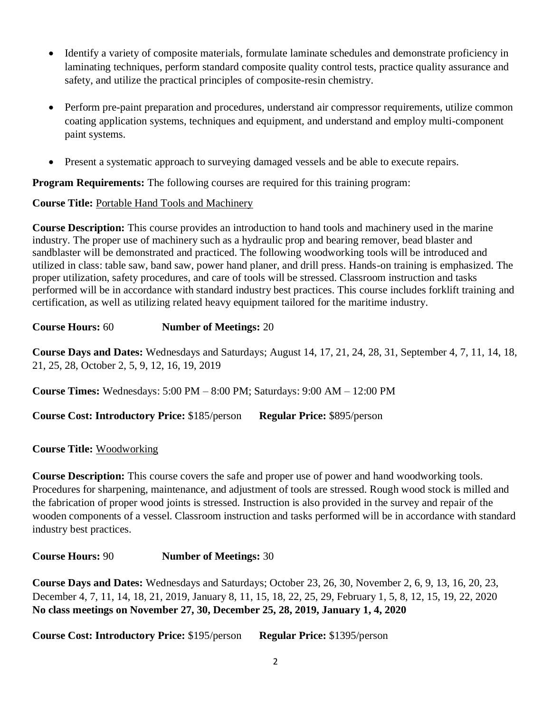- Identify a variety of composite materials, formulate laminate schedules and demonstrate proficiency in laminating techniques, perform standard composite quality control tests, practice quality assurance and safety, and utilize the practical principles of composite-resin chemistry.
- Perform pre-paint preparation and procedures, understand air compressor requirements, utilize common coating application systems, techniques and equipment, and understand and employ multi-component paint systems.
- Present a systematic approach to surveying damaged vessels and be able to execute repairs.

**Program Requirements:** The following courses are required for this training program:

## **Course Title:** Portable Hand Tools and Machinery

**Course Description:** This course provides an introduction to hand tools and machinery used in the marine industry. The proper use of machinery such as a hydraulic prop and bearing remover, bead blaster and sandblaster will be demonstrated and practiced. The following woodworking tools will be introduced and utilized in class: table saw, band saw, power hand planer, and drill press. Hands-on training is emphasized. The proper utilization, safety procedures, and care of tools will be stressed. Classroom instruction and tasks performed will be in accordance with standard industry best practices. This course includes forklift training and certification, as well as utilizing related heavy equipment tailored for the maritime industry.

**Course Hours:** 60 **Number of Meetings:** 20

**Course Days and Dates:** Wednesdays and Saturdays; August 14, 17, 21, 24, 28, 31, September 4, 7, 11, 14, 18, 21, 25, 28, October 2, 5, 9, 12, 16, 19, 2019

**Course Times:** Wednesdays: 5:00 PM – 8:00 PM; Saturdays: 9:00 AM – 12:00 PM

**Course Cost: Introductory Price:** \$185/person **Regular Price:** \$895/person

#### **Course Title:** Woodworking

**Course Description:** This course covers the safe and proper use of power and hand woodworking tools. Procedures for sharpening, maintenance, and adjustment of tools are stressed. Rough wood stock is milled and the fabrication of proper wood joints is stressed. Instruction is also provided in the survey and repair of the wooden components of a vessel. Classroom instruction and tasks performed will be in accordance with standard industry best practices.

**Course Hours:** 90 **Number of Meetings:** 30

**Course Days and Dates:** Wednesdays and Saturdays; October 23, 26, 30, November 2, 6, 9, 13, 16, 20, 23, December 4, 7, 11, 14, 18, 21, 2019, January 8, 11, 15, 18, 22, 25, 29, February 1, 5, 8, 12, 15, 19, 22, 2020 **No class meetings on November 27, 30, December 25, 28, 2019, January 1, 4, 2020**

**Course Cost: Introductory Price:** \$195/person **Regular Price:** \$1395/person